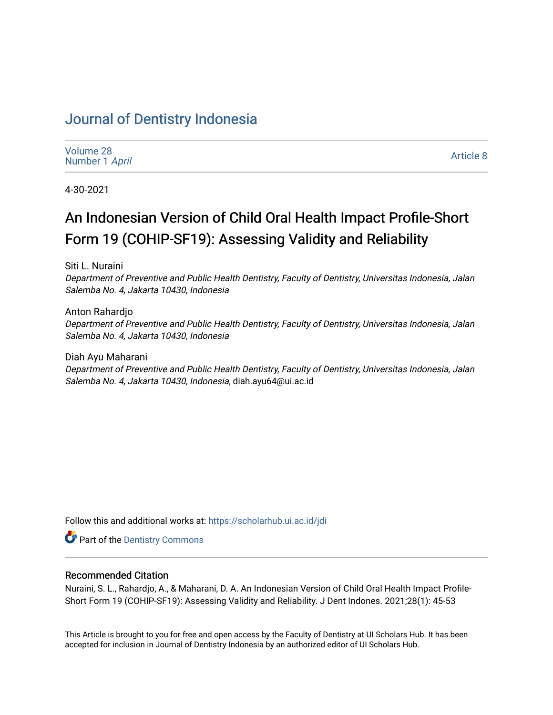# [Journal of Dentistry Indonesia](https://scholarhub.ui.ac.id/jdi)

| Volume 28      |  |
|----------------|--|
| Number 1 April |  |

[Article 8](https://scholarhub.ui.ac.id/jdi/vol28/iss1/8) 

4-30-2021

# An Indonesian Version of Child Oral Health Impact Profile-Short Form 19 (COHIP-SF19): Assessing Validity and Reliability

Siti L. Nuraini

Department of Preventive and Public Health Dentistry, Faculty of Dentistry, Universitas Indonesia, Jalan Salemba No. 4, Jakarta 10430, Indonesia

Anton Rahardjo Department of Preventive and Public Health Dentistry, Faculty of Dentistry, Universitas Indonesia, Jalan Salemba No. 4, Jakarta 10430, Indonesia

Diah Ayu Maharani Department of Preventive and Public Health Dentistry, Faculty of Dentistry, Universitas Indonesia, Jalan Salemba No. 4, Jakarta 10430, Indonesia, diah.ayu64@ui.ac.id

Follow this and additional works at: [https://scholarhub.ui.ac.id/jdi](https://scholarhub.ui.ac.id/jdi?utm_source=scholarhub.ui.ac.id%2Fjdi%2Fvol28%2Fiss1%2F8&utm_medium=PDF&utm_campaign=PDFCoverPages) 

**P** Part of the Dentistry Commons

# Recommended Citation

Nuraini, S. L., Rahardjo, A., & Maharani, D. A. An Indonesian Version of Child Oral Health Impact Profile-Short Form 19 (COHIP-SF19): Assessing Validity and Reliability. J Dent Indones. 2021;28(1): 45-53

This Article is brought to you for free and open access by the Faculty of Dentistry at UI Scholars Hub. It has been accepted for inclusion in Journal of Dentistry Indonesia by an authorized editor of UI Scholars Hub.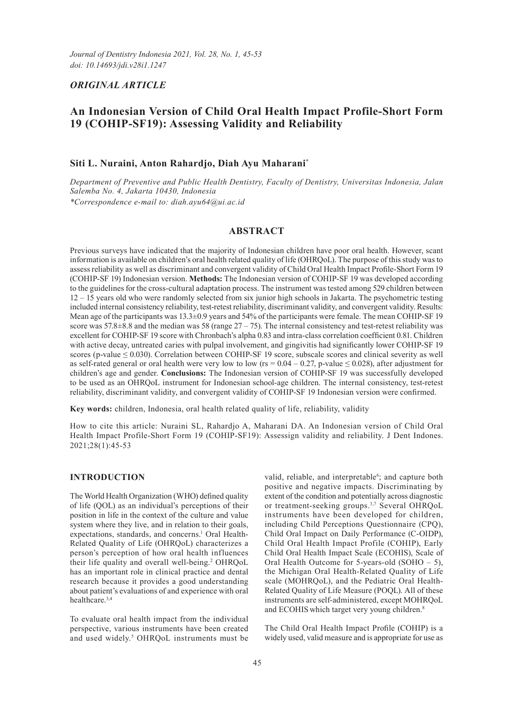# *ORIGINAL ARTICLE*

# **An Indonesian Version of Child Oral Health Impact Profile-Short Form 19 (COHIP-SF19): Assessing Validity and Reliability**

# **Siti L. Nuraini, Anton Rahardjo, Diah Ayu Maharani\***

*Department of Preventive and Public Health Dentistry, Faculty of Dentistry, Universitas Indonesia, Jalan Salemba No. 4, Jakarta 10430, Indonesia \*Correspondence e-mail to: diah.ayu64@ui.ac.id*

# **ABSTRACT**

Previous surveys have indicated that the majority of Indonesian children have poor oral health. However, scant information is available on children's oral health related quality of life (OHRQoL). The purpose of this study was to assess reliability as well as discriminant and convergent validity of Child Oral Health Impact Profile-Short Form 19 (COHIP-SF 19) Indonesian version. **Methods:** The Indonesian version of COHIP-SF 19 was developed according to the guidelines for the cross-cultural adaptation process. The instrument was tested among 529 children between 12 – 15 years old who were randomly selected from six junior high schools in Jakarta. The psychometric testing included internal consistency reliability, test-retest reliability, discriminant validity, and convergent validity. Results: Mean age of the participants was 13.3±0.9 years and 54% of the participants were female. The mean COHIP-SF 19 score was  $57.8\pm8.8$  and the median was  $58$  (range  $27 - 75$ ). The internal consistency and test-retest reliability was excellent for COHIP-SF 19 score with Chronbach's alpha 0.83 and intra-class correlation coefficient 0.81. Children with active decay, untreated caries with pulpal involvement, and gingivitis had significantly lower COHIP-SF 19 scores (p-value  $\leq$  0.030). Correlation between COHIP-SF 19 score, subscale scores and clinical severity as well as self-rated general or oral health were very low to low (rs =  $0.04 - 0.27$ , p-value  $\leq 0.028$ ), after adjustment for children's age and gender. **Conclusions:** The Indonesian version of COHIP-SF 19 was successfully developed to be used as an OHRQoL instrument for Indonesian school-age children. The internal consistency, test-retest reliability, discriminant validity, and convergent validity of COHIP-SF 19 Indonesian version were confirmed.

**Key words:** children, Indonesia, oral health related quality of life, reliability, validity

How to cite this article: Nuraini SL, Rahardjo A, Maharani DA. An Indonesian version of Child Oral Health Impact Profile-Short Form 19 (COHIP-SF19): Assessign validity and reliability. J Dent Indones. 2021;28(1):45-53

## **INTRODUCTION**

The World Health Organization (WHO) defined quality of life (QOL) as an individual's perceptions of their position in life in the context of the culture and value system where they live, and in relation to their goals, expectations, standards, and concerns.<sup>1</sup> Oral Health-Related Quality of Life (OHRQoL) characterizes a person's perception of how oral health influences their life quality and overall well-being.2 OHRQoL has an important role in clinical practice and dental research because it provides a good understanding about patient's evaluations of and experience with oral healthcare.3,4

To evaluate oral health impact from the individual perspective, various instruments have been created and used widely.<sup>5</sup> OHRQoL instruments must be

valid, reliable, and interpretable<sup>6</sup>; and capture both positive and negative impacts. Discriminating by extent of the condition and potentially across diagnostic or treatment-seeking groups.<sup>3,7</sup> Several OHRQoL instruments have been developed for children, including Child Perceptions Questionnaire (CPQ), Child Oral Impact on Daily Performance (C-OIDP), Child Oral Health Impact Profile (COHIP), Early Child Oral Health Impact Scale (ECOHIS), Scale of Oral Health Outcome for 5-years-old (SOHO – 5), the Michigan Oral Health-Related Quality of Life scale (MOHRQoL), and the Pediatric Oral Health-Related Quality of Life Measure (POQL). All of these instruments are self-administered, except MOHRQoL and ECOHIS which target very young children.<sup>8</sup>

The Child Oral Health Impact Profile (COHIP) is a widely used, valid measure and is appropriate for use as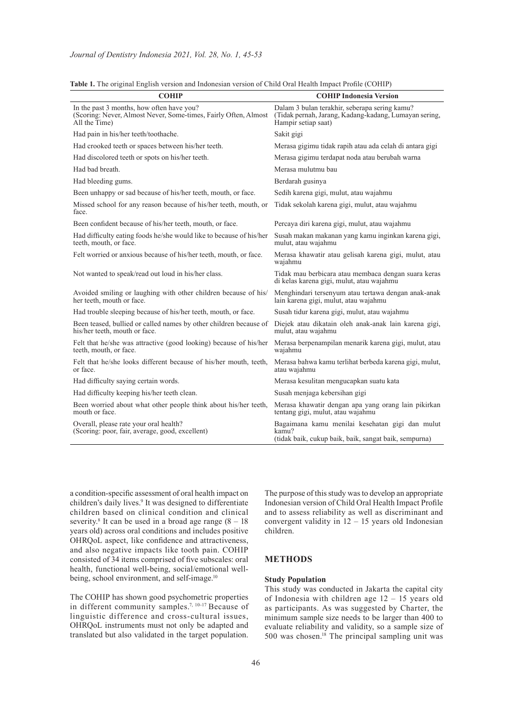| <b>COHIP</b>                                                                                                                  | <b>COHIP Indonesia Version</b>                                                                                                |
|-------------------------------------------------------------------------------------------------------------------------------|-------------------------------------------------------------------------------------------------------------------------------|
| In the past 3 months, how often have you?<br>(Scoring: Never, Almost Never, Some-times, Fairly Often, Almost<br>All the Time) | Dalam 3 bulan terakhir, seberapa sering kamu?<br>(Tidak pernah, Jarang, Kadang-kadang, Lumayan sering,<br>Hampir setiap saat) |
| Had pain in his/her teeth/toothache.                                                                                          | Sakit gigi                                                                                                                    |
| Had crooked teeth or spaces between his/her teeth.                                                                            | Merasa gigimu tidak rapih atau ada celah di antara gigi                                                                       |
| Had discolored teeth or spots on his/her teeth.                                                                               | Merasa gigimu terdapat noda atau berubah warna                                                                                |
| Had bad breath.                                                                                                               | Merasa mulutmu bau                                                                                                            |
| Had bleeding gums.                                                                                                            | Berdarah gusinya                                                                                                              |
| Been unhappy or sad because of his/her teeth, mouth, or face.                                                                 | Sedih karena gigi, mulut, atau wajahmu                                                                                        |
| Missed school for any reason because of his/her teeth, mouth, or<br>face.                                                     | Tidak sekolah karena gigi, mulut, atau wajahmu                                                                                |
| Been confident because of his/her teeth, mouth, or face.                                                                      | Percaya diri karena gigi, mulut, atau wajahmu                                                                                 |
| Had difficulty eating foods he/she would like to because of his/her<br>teeth, mouth, or face.                                 | Susah makan makanan yang kamu inginkan karena gigi,<br>mulut, atau wajahmu                                                    |
| Felt worried or anxious because of his/her teeth, mouth, or face.                                                             | Merasa khawatir atau gelisah karena gigi, mulut, atau<br>wajahmu                                                              |
| Not wanted to speak/read out loud in his/her class.                                                                           | Tidak mau berbicara atau membaca dengan suara keras<br>di kelas karena gigi, mulut, atau wajahmu                              |
| Avoided smiling or laughing with other children because of his/<br>her teeth, mouth or face.                                  | Menghindari tersenyum atau tertawa dengan anak-anak<br>lain karena gigi, mulut, atau wajahmu                                  |
| Had trouble sleeping because of his/her teeth, mouth, or face.                                                                | Susah tidur karena gigi, mulut, atau wajahmu                                                                                  |
| Been teased, bullied or called names by other children because of<br>his/her teeth, mouth or face.                            | Diejek atau dikatain oleh anak-anak lain karena gigi,<br>mulut, atau wajahmu                                                  |
| Felt that he/she was attractive (good looking) because of his/her<br>teeth, mouth, or face.                                   | Merasa berpenampilan menarik karena gigi, mulut, atau<br>wajahmu                                                              |
| Felt that he/she looks different because of his/her mouth, teeth,<br>or face.                                                 | Merasa bahwa kamu terlihat berbeda karena gigi, mulut,<br>atau wajahmu                                                        |
| Had difficulty saying certain words.                                                                                          | Merasa kesulitan mengucapkan suatu kata                                                                                       |
| Had difficulty keeping his/her teeth clean.                                                                                   | Susah menjaga kebersihan gigi                                                                                                 |
| Been worried about what other people think about his/her teeth,<br>mouth or face.                                             | Merasa khawatir dengan apa yang orang lain pikirkan<br>tentang gigi, mulut, atau wajahmu                                      |
| Overall, please rate your oral health?<br>(Scoring: poor, fair, average, good, excellent)                                     | Bagaimana kamu menilai kesehatan gigi dan mulut<br>kamu?<br>(tidak baik, cukup baik, baik, sangat baik, sempurna)             |

**Table 1.** The original English version and Indonesian version of Child Oral Health Impact Profile (COHIP)

a condition-specific assessment of oral health impact on children's daily lives.<sup>9</sup> It was designed to differentiate children based on clinical condition and clinical severity.<sup>8</sup> It can be used in a broad age range  $(8 - 18)$ years old) across oral conditions and includes positive OHRQoL aspect, like confidence and attractiveness, and also negative impacts like tooth pain. COHIP consisted of 34 items comprised of five subscales: oral health, functional well-being, social/emotional wellbeing, school environment, and self-image.<sup>10</sup>

The COHIP has shown good psychometric properties in different community samples.7, 10-17 Because of linguistic difference and cross-cultural issues, OHRQoL instruments must not only be adapted and translated but also validated in the target population.

The purpose of this study was to develop an appropriate Indonesian version of Child Oral Health Impact Profile and to assess reliability as well as discriminant and convergent validity in  $12 - 15$  years old Indonesian children.

#### **METHODS**

#### **Study Population**

This study was conducted in Jakarta the capital city of Indonesia with children age 12 – 15 years old as participants. As was suggested by Charter, the minimum sample size needs to be larger than 400 to evaluate reliability and validity, so a sample size of 500 was chosen.<sup>18</sup> The principal sampling unit was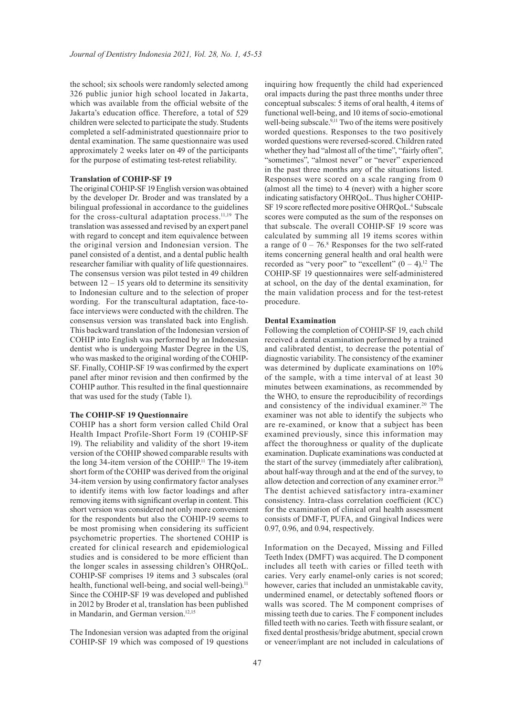the school; six schools were randomly selected among 326 public junior high school located in Jakarta, which was available from the official website of the Jakarta's education office. Therefore, a total of 529 children were selected to participate the study. Students completed a self-administrated questionnaire prior to dental examination. The same questionnaire was used approximately 2 weeks later on 49 of the participants for the purpose of estimating test-retest reliability.

#### **Translation of COHIP-SF 19**

The original COHIP-SF 19 English version was obtained by the developer Dr. Broder and was translated by a bilingual professional in accordance to the guidelines for the cross-cultural adaptation process.<sup>11,19</sup> The translation was assessed and revised by an expert panel with regard to concept and item equivalence between the original version and Indonesian version. The panel consisted of a dentist, and a dental public health researcher familiar with quality of life questionnaires. The consensus version was pilot tested in 49 children between  $12 - 15$  years old to determine its sensitivity to Indonesian culture and to the selection of proper wording. For the transcultural adaptation, face-toface interviews were conducted with the children. The consensus version was translated back into English. This backward translation of the Indonesian version of COHIP into English was performed by an Indonesian dentist who is undergoing Master Degree in the US, who was masked to the original wording of the COHIP-SF. Finally, COHIP-SF 19 was confirmed by the expert panel after minor revision and then confirmed by the COHIP author. This resulted in the final questionnaire that was used for the study (Table 1).

## **The COHIP-SF 19 Questionnaire**

COHIP has a short form version called Child Oral Health Impact Profile-Short Form 19 (COHIP-SF 19). The reliability and validity of the short 19-item version of the COHIP showed comparable results with the long 34-item version of the COHIP.11 The 19-item short form of the COHIP was derived from the original 34-item version by using confirmatory factor analyses to identify items with low factor loadings and after removing items with significant overlap in content. This short version was considered not only more convenient for the respondents but also the COHIP-19 seems to be most promising when considering its sufficient psychometric properties. The shortened COHIP is created for clinical research and epidemiological studies and is considered to be more efficient than the longer scales in assessing children's OHRQoL. COHIP-SF comprises 19 items and 3 subscales (oral health, functional well-being, and social well-being).<sup>11</sup> Since the COHIP-SF 19 was developed and published in 2012 by Broder et al, translation has been published in Mandarin, and German version.<sup>12,15</sup>

The Indonesian version was adapted from the original COHIP-SF 19 which was composed of 19 questions inquiring how frequently the child had experienced oral impacts during the past three months under three conceptual subscales: 5 items of oral health, 4 items of functional well-being, and 10 items of socio-emotional well-being subscale.<sup>9,11</sup> Two of the items were positively worded questions. Responses to the two positively worded questions were reversed-scored. Children rated whether they had "almost all of the time", "fairly often", "sometimes", "almost never" or "never" experienced in the past three months any of the situations listed. Responses were scored on a scale ranging from 0 (almost all the time) to 4 (never) with a higher score indicating satisfactory OHRQoL. Thus higher COHIP-SF 19 score reflected more positive OHRQoL.<sup>4</sup> Subscale scores were computed as the sum of the responses on that subscale. The overall COHIP-SF 19 score was calculated by summing all 19 items scores within a range of  $0 - 76$ .<sup>8</sup> Responses for the two self-rated items concerning general health and oral health were recorded as "very poor" to "excellent"  $(0 - 4)$ .<sup>12</sup> The COHIP-SF 19 questionnaires were self-administered at school, on the day of the dental examination, for the main validation process and for the test-retest procedure.

#### **Dental Examination**

Following the completion of COHIP-SF 19, each child received a dental examination performed by a trained and calibrated dentist, to decrease the potential of diagnostic variability. The consistency of the examiner was determined by duplicate examinations on 10% of the sample, with a time interval of at least 30 minutes between examinations, as recommended by the WHO, to ensure the reproducibility of recordings and consistency of the individual examiner.<sup>20</sup> The examiner was not able to identify the subjects who are re-examined, or know that a subject has been examined previously, since this information may affect the thoroughness or quality of the duplicate examination. Duplicate examinations was conducted at the start of the survey (immediately after calibration), about half-way through and at the end of the survey, to allow detection and correction of any examiner error.20 The dentist achieved satisfactory intra-examiner consistency. Intra-class correlation coefficient (ICC) for the examination of clinical oral health assessment consists of DMF-T, PUFA, and Gingival Indices were 0.97, 0.96, and 0.94, respectively.

Information on the Decayed, Missing and Filled Teeth Index (DMFT) was acquired. The D component includes all teeth with caries or filled teeth with caries. Very early enamel-only caries is not scored; however, caries that included an unmistakable cavity, undermined enamel, or detectably softened floors or walls was scored. The M component comprises of missing teeth due to caries. The F component includes filled teeth with no caries. Teeth with fissure sealant, or fixed dental prosthesis/bridge abutment, special crown or veneer/implant are not included in calculations of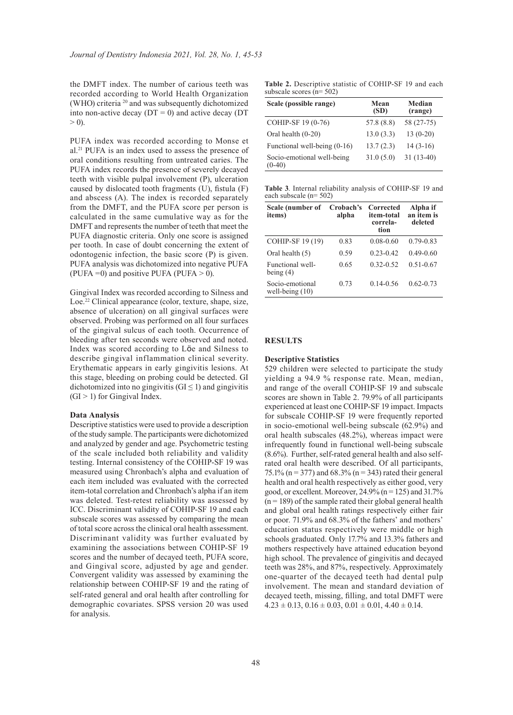the DMFT index. The number of carious teeth was recorded according to World Health Organization (WHO) criteria <sup>20</sup> and was subsequently dichotomized into non-active decay ( $DT = 0$ ) and active decay ( $DT$  $> 0$ ).

PUFA index was recorded according to Monse et al.21 PUFA is an index used to assess the presence of oral conditions resulting from untreated caries. The PUFA index records the presence of severely decayed teeth with visible pulpal involvement (P), ulceration caused by dislocated tooth fragments (U), fistula (F) and abscess (A). The index is recorded separately from the DMFT, and the PUFA score per person is calculated in the same cumulative way as for the DMFT and represents the number of teeth that meet the PUFA diagnostic criteria. Only one score is assigned per tooth. In case of doubt concerning the extent of odontogenic infection, the basic score (P) is given. PUFA analysis was dichotomized into negative PUFA (PUFA = 0) and positive PUFA (PUFA  $> 0$ ).

Gingival Index was recorded according to Silness and Loe.<sup>22</sup> Clinical appearance (color, texture, shape, size, absence of ulceration) on all gingival surfaces were observed. Probing was performed on all four surfaces of the gingival sulcus of each tooth. Occurrence of bleeding after ten seconds were observed and noted. Index was scored according to Löe and Silness to describe gingival inflammation clinical severity. Erythematic appears in early gingivitis lesions. At this stage, bleeding on probing could be detected. GI dichotomized into no gingivitis ( $GI \leq 1$ ) and gingivitis  $(GI > 1)$  for Gingival Index.

#### **Data Analysis**

Descriptive statistics were used to provide a description of the study sample. The participants were dichotomized and analyzed by gender and age. Psychometric testing of the scale included both reliability and validity testing. Internal consistency of the COHIP-SF 19 was measured using Chronbach's alpha and evaluation of each item included was evaluated with the corrected item-total correlation and Chronbach's alpha if an item was deleted. Test-retest reliability was assessed by ICC. Discriminant validity of COHIP-SF 19 and each subscale scores was assessed by comparing the mean of total score across the clinical oral health assessment. Discriminant validity was further evaluated by examining the associations between COHIP-SF 19 scores and the number of decayed teeth, PUFA score, and Gingival score, adjusted by age and gender. Convergent validity was assessed by examining the relationship between COHIP-SF 19 and the rating of self-rated general and oral health after controlling for demographic covariates. SPSS version 20 was used for analysis.

**Table 2.** Descriptive statistic of COHIP-SF 19 and each subscale scores (n= 502)

| Scale (possible range)                 | Mean<br>(SD) | <b>Median</b><br>(range) |
|----------------------------------------|--------------|--------------------------|
| COHIP-SF 19 (0-76)                     | 57.8 (8.8)   | 58 (27-75)               |
| Oral health $(0-20)$                   | 13.0(3.3)    | $13(0-20)$               |
| Functional well-being (0-16)           | 13.7(2.3)    | $14(3-16)$               |
| Socio-emotional well-being<br>$(0-40)$ | 31.0(5.0)    | $31(13-40)$              |

**Table 3**. Internal reliability analysis of COHIP-SF 19 and each subscale (n= 502)

| Scale (number of<br>items)           | Crobach's<br>alpha | Corrected<br>item-total<br>correla-<br>tion | Alpha if<br>an item is<br>deleted |
|--------------------------------------|--------------------|---------------------------------------------|-----------------------------------|
| COHIP-SF 19 (19)                     | 0.83               | $0.08 - 0.60$                               | $0.79 - 0.83$                     |
| Oral health (5)                      | 0.59               | $0.23 - 0.42$                               | $0.49 - 0.60$                     |
| Functional well-<br>being $(4)$      | 0.65               | $0.32 - 0.52$                               | $0.51 - 0.67$                     |
| Socio-emotional<br>well-being $(10)$ | 0.73               | $0.14 - 0.56$                               | $0.62 - 0.73$                     |

#### **RESULTS**

#### **Descriptive Statistics**

529 children were selected to participate the study yielding a 94.9 % response rate. Mean, median, and range of the overall COHIP-SF 19 and subscale scores are shown in Table 2. 79.9% of all participants experienced at least one COHIP-SF 19 impact. Impacts for subscale COHIP-SF 19 were frequently reported in socio-emotional well-being subscale (62.9%) and oral health subscales (48.2%), whereas impact were infrequently found in functional well-being subscale (8.6%). Further, self-rated general health and also selfrated oral health were described. Of all participants, 75.1% (n = 377) and 68.3% (n = 343) rated their general health and oral health respectively as either good, very good, or excellent. Moreover,  $24.9\%$  (n = 125) and  $31.7\%$  $(n = 189)$  of the sample rated their global general health and global oral health ratings respectively either fair or poor. 71.9% and 68.3% of the fathers' and mothers' education status respectively were middle or high schools graduated. Only 17.7% and 13.3% fathers and mothers respectively have attained education beyond high school. The prevalence of gingivitis and decayed teeth was 28%, and 87%, respectively. Approximately one-quarter of the decayed teeth had dental pulp involvement. The mean and standard deviation of decayed teeth, missing, filling, and total DMFT were  $4.23 \pm 0.13$ ,  $0.16 \pm 0.03$ ,  $0.01 \pm 0.01$ ,  $4.40 \pm 0.14$ .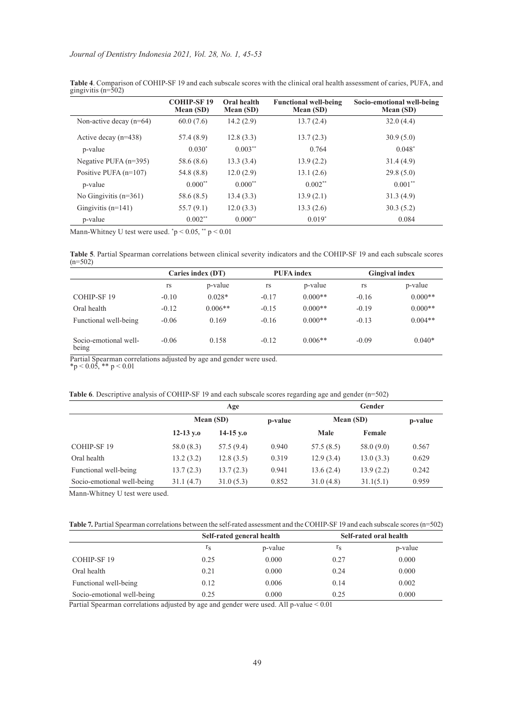|                           | <b>COHIP-SF19</b><br>Mean (SD) | Oral health<br>Mean (SD) | <b>Functional well-being</b><br>Mean (SD) | Socio-emotional well-being<br>Mean (SD) |
|---------------------------|--------------------------------|--------------------------|-------------------------------------------|-----------------------------------------|
| Non-active decay $(n=64)$ | 60.0(7.6)                      | 14.2(2.9)                | 13.7(2.4)                                 | 32.0(4.4)                               |
| Active decay $(n=438)$    | 57.4 (8.9)                     | 12.8(3.3)                | 13.7(2.3)                                 | 30.9(5.0)                               |
| p-value                   | $0.030*$                       | $0.003**$                | 0.764                                     | $0.048*$                                |
| Negative PUFA $(n=395)$   | 58.6 (8.6)                     | 13.3(3.4)                | 13.9(2.2)                                 | 31.4(4.9)                               |
| Positive PUFA $(n=107)$   | 54.8 (8.8)                     | 12.0(2.9)                | 13.1(2.6)                                 | 29.8(5.0)                               |
| p-value                   | $0.000**$                      | $0.000**$                | $0.002**$                                 | $0.001**$                               |
| No Gingivitis $(n=361)$   | 58.6 (8.5)                     | 13.4(3.3)                | 13.9(2.1)                                 | 31.3(4.9)                               |
| Gingivitis $(n=141)$      | 55.7(9.1)                      | 12.0(3.3)                | 13.3(2.6)                                 | 30.3(5.2)                               |
| p-value                   | $0.002**$                      | $0.000**$                | $0.019*$                                  | 0.084                                   |

**Table 4**. Comparison of COHIP-SF 19 and each subscale scores with the clinical oral health assessment of caries, PUFA, and gingivitis (n=502)

Mann-Whitney U test were used.  $\degree$ p < 0.05,  $\degree$  p < 0.01

**Table 5**. Partial Spearman correlations between clinical severity indicators and the COHIP-SF 19 and each subscale scores  $(n=502)$ 

|                                | Caries index (DT) |           | <b>PUFA</b> index |           | <b>Gingival index</b> |           |
|--------------------------------|-------------------|-----------|-------------------|-----------|-----------------------|-----------|
|                                | rs                | p-value   | rs                | p-value   | rs                    | p-value   |
| COHIP-SF 19                    | $-0.10$           | $0.028*$  | $-0.17$           | $0.000**$ | $-0.16$               | $0.000**$ |
| Oral health                    | $-0.12$           | $0.006**$ | $-0.15$           | $0.000**$ | $-0.19$               | $0.000**$ |
| Functional well-being          | $-0.06$           | 0.169     | $-0.16$           | $0.000**$ | $-0.13$               | $0.004**$ |
| Socio-emotional well-<br>being | $-0.06$           | 0.158     | $-0.12$           | $0.006**$ | $-0.09$               | $0.040*$  |

Partial Spearman correlations adjusted by age and gender were used.

 $*p < 0.05$ ,  $** p < 0.01$ 

| Table 6. Descriptive analysis of COHIP-SF 19 and each subscale scores regarding age and gender (n=502) |  |  |  |
|--------------------------------------------------------------------------------------------------------|--|--|--|
|--------------------------------------------------------------------------------------------------------|--|--|--|

|                            | Age         |             |         | Gender    |           |         |
|----------------------------|-------------|-------------|---------|-----------|-----------|---------|
|                            | Mean (SD)   |             | p-value | Mean (SD) |           | p-value |
|                            | $12-13$ v.o | $14-15$ v.o |         | Male      | Female    |         |
| COHIP-SF 19                | 58.0 (8.3)  | 57.5(9.4)   | 0.940   | 57.5(8.5) | 58.0(9.0) | 0.567   |
| Oral health                | 13.2(3.2)   | 12.8(3.5)   | 0.319   | 12.9(3.4) | 13.0(3.3) | 0.629   |
| Functional well-being      | 13.7(2.3)   | 13.7(2.3)   | 0.941   | 13.6(2.4) | 13.9(2.2) | 0.242   |
| Socio-emotional well-being | 31.1(4.7)   | 31.0(5.3)   | 0.852   | 31.0(4.8) | 31.1(5.1) | 0.959   |

Mann-Whitney U test were used.

**Table 7.** Partial Spearman correlations between the self-rated assessment and the COHIP-SF 19 and each subscale scores (n=502)

|                            | Self-rated general health |         |                  | Self-rated oral health |
|----------------------------|---------------------------|---------|------------------|------------------------|
|                            | ${}^1S$                   | p-value | $\mathbf{1}_{S}$ | p-value                |
| COHIP-SF 19                | 0.25                      | 0.000   | 0.27             | 0.000                  |
| Oral health                | 0.21                      | 0.000   | 0.24             | 0.000                  |
| Functional well-being      | 0.12                      | 0.006   | 0.14             | 0.002                  |
| Socio-emotional well-being | 0.25                      | 0.000   | 0.25             | 0.000                  |

Partial Spearman correlations adjusted by age and gender were used. All p-value < 0.01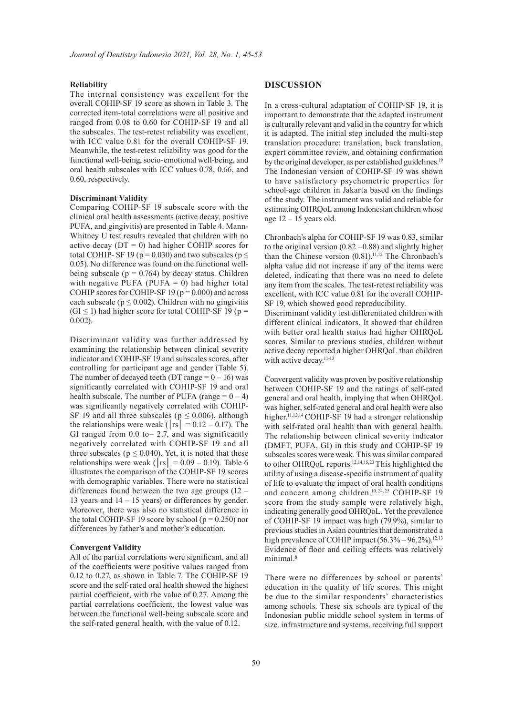#### **Reliability**

The internal consistency was excellent for the overall COHIP-SF 19 score as shown in Table 3. The corrected item-total correlations were all positive and ranged from 0.08 to 0.60 for COHIP-SF 19 and all the subscales. The test-retest reliability was excellent, with ICC value 0.81 for the overall COHIP-SF 19. Meanwhile, the test-retest reliability was good for the functional well-being, socio-emotional well-being, and oral health subscales with ICC values 0.78, 0.66, and 0.60, respectively.

#### **Discriminant Validity**

Comparing COHIP-SF 19 subscale score with the clinical oral health assessments (active decay, positive PUFA, and gingivitis) are presented in Table 4. Mann-Whitney U test results revealed that children with no active decay ( $DT = 0$ ) had higher COHIP scores for total COHIP- SF 19 ( $p = 0.030$ ) and two subscales ( $p \le$ 0.05). No difference was found on the functional wellbeing subscale ( $p = 0.764$ ) by decay status. Children with negative PUFA (PUFA  $= 0$ ) had higher total COHIP scores for COHIP-SF 19 ( $p = 0.000$ ) and across each subscale ( $p \le 0.002$ ). Children with no gingivitis  $(GI \le 1)$  had higher score for total COHIP-SF 19 (p = 0.002).

Discriminant validity was further addressed by examining the relationship between clinical severity indicator and COHIP-SF 19 and subscales scores, after controlling for participant age and gender (Table 5). The number of decayed teeth (DT range  $= 0 - 16$ ) was significantly correlated with COHIP-SF 19 and oral health subscale. The number of PUFA (range  $= 0 - 4$ ) was significantly negatively correlated with COHIP-SF 19 and all three subscales ( $p \le 0.006$ ), although the relationships were weak ( $|\text{rs}| = 0.12 - 0.17$ ). The GI ranged from 0.0 to– 2.7, and was significantly negatively correlated with COHIP-SF 19 and all three subscales ( $p \le 0.040$ ). Yet, it is noted that these relationships were weak ( $|\text{rs}| = 0.09 - 0.19$ ). Table 6 illustrates the comparison of the COHIP-SF 19 scores with demographic variables. There were no statistical differences found between the two age groups (12 – 13 years and 14 – 15 years) or differences by gender. Moreover, there was also no statistical difference in the total COHIP-SF 19 score by school ( $p = 0.250$ ) nor differences by father's and mother's education.

#### **Convergent Validity**

All of the partial correlations were significant, and all of the coefficients were positive values ranged from 0.12 to 0.27, as shown in Table 7. The COHIP-SF 19 score and the self-rated oral health showed the highest partial coefficient, with the value of 0.27. Among the partial correlations coefficient, the lowest value was between the functional well-being subscale score and the self-rated general health, with the value of 0.12.

### **DISCUSSION**

In a cross-cultural adaptation of COHIP-SF 19, it is important to demonstrate that the adapted instrument is culturally relevant and valid in the country for which it is adapted. The initial step included the multi-step translation procedure: translation, back translation, expert committee review, and obtaining confirmation by the original developer, as per established guidelines.<sup>19</sup> The Indonesian version of COHIP-SF 19 was shown to have satisfactory psychometric properties for school-age children in Jakarta based on the findings of the study. The instrument was valid and reliable for estimating OHRQoL among Indonesian children whose age  $12 - 15$  years old.

Chronbach's alpha for COHIP-SF 19 was 0.83, similar to the original version  $(0.82 - 0.88)$  and slightly higher than the Chinese version  $(0.81)$ .<sup>11,12</sup> The Chronbach's alpha value did not increase if any of the items were deleted, indicating that there was no need to delete any item from the scales. The test-retest reliability was excellent, with ICC value 0.81 for the overall COHIP-SF 19, which showed good reproducibility.

Discriminant validity test differentiated children with different clinical indicators. It showed that children with better oral health status had higher OHRQoL scores. Similar to previous studies, children without active decay reported a higher OHRQoL than children with active decay.<sup>11-13</sup>

Convergent validity was proven by positive relationship between COHIP-SF 19 and the ratings of self-rated general and oral health, implying that when OHRQoL was higher, self-rated general and oral health were also higher.<sup>11,12,14</sup> COHIP-SF 19 had a stronger relationship with self-rated oral health than with general health. The relationship between clinical severity indicator (DMFT, PUFA, GI) in this study and COHIP-SF 19 subscales scores were weak. This was similar compared to other OHRQoL reports.<sup>12,14,15,23</sup> This highlighted the utility of using a disease-specific instrument of quality of life to evaluate the impact of oral health conditions and concern among children.10,24,25 COHIP-SF 19 score from the study sample were relatively high, indicating generally good OHRQoL. Yet the prevalence of COHIP-SF 19 impact was high (79.9%), similar to previous studies in Asian countries that demonstrated a high prevalence of COHIP impact  $(56.3\% - 96.2\%)$ <sup>12,13</sup> Evidence of floor and ceiling effects was relatively minimal.<sup>8</sup>

There were no differences by school or parents' education in the quality of life scores. This might be due to the similar respondents' characteristics among schools. These six schools are typical of the Indonesian public middle school system in terms of size, infrastructure and systems, receiving full support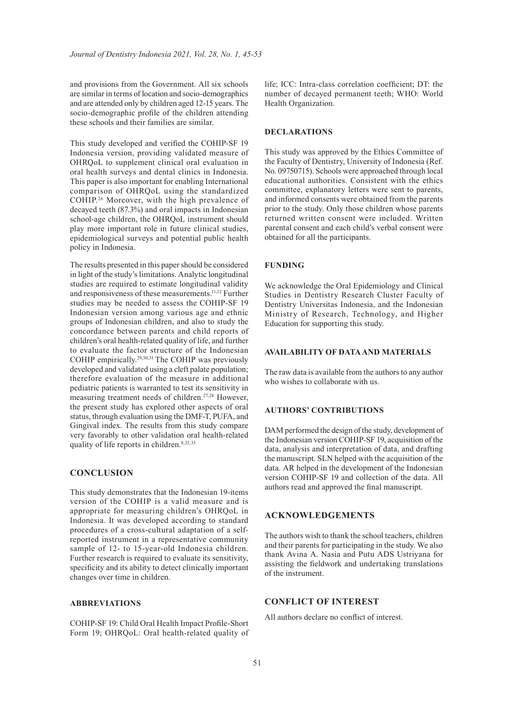and provisions from the Government. All six schools are similar in terms of location and socio-demographics and are attended only by children aged 12-15 years. The socio-demographic profile of the children attending these schools and their families are similar.

This study developed and verified the COHIP-SF 19 Indonesia version, providing validated measure of OHRQoL to supplement clinical oral evaluation in oral health surveys and dental clinics in Indonesia. This paper is also important for enabling International comparison of OHRQoL using the standardized COHIP.<sup>26</sup> Moreover, with the high prevalence of decayed teeth (87.3%) and oral impacts in Indonesian school-age children, the OHRQoL instrument should play more important role in future clinical studies, epidemiological surveys and potential public health policy in Indonesia.

The results presented in this paper should be considered in light of the study's limitations. Analytic longitudinal studies are required to estimate longitudinal validity and responsiveness of these measurements.11,12 Further studies may be needed to assess the COHIP-SF 19 Indonesian version among various age and ethnic groups of Indonesian children, and also to study the concordance between parents and child reports of children's oral health-related quality of life, and further to evaluate the factor structure of the Indonesian COHIP empirically.29,30,31 The COHIP was previously developed and validated using a cleft palate population; therefore evaluation of the measure in additional pediatric patients is warranted to test its sensitivity in measuring treatment needs of children.27,28 However, the present study has explored other aspects of oral status, through evaluation using the DMF-T, PUFA, and Gingival index. The results from this study compare very favorably to other validation oral health-related quality of life reports in children.<sup>8,32,33</sup>

# **CONCLUSION**

This study demonstrates that the Indonesian 19-items version of the COHIP is a valid measure and is appropriate for measuring children's OHRQoL in Indonesia. It was developed according to standard procedures of a cross-cultural adaptation of a selfreported instrument in a representative community sample of 12- to 15-year-old Indonesia children. Further research is required to evaluate its sensitivity, specificity and its ability to detect clinically important changes over time in children.

#### **ABBREVIATIONS**

COHIP-SF 19: Child Oral Health Impact Profile-Short Form 19; OHRQoL: Oral health-related quality of life; ICC: Intra-class correlation coefficient; DT: the number of decayed permanent teeth; WHO: World Health Organization.

#### **DECLARATIONS**

This study was approved by the Ethics Committee of the Faculty of Dentistry, University of Indonesia (Ref. No. 09750715). Schools were approached through local educational authorities. Consistent with the ethics committee, explanatory letters were sent to parents, and informed consents were obtained from the parents prior to the study. Only those children whose parents returned written consent were included. Written parental consent and each child's verbal consent were obtained for all the participants.

#### **FUNDING**

We acknowledge the Oral Epidemiology and Clinical Studies in Dentistry Research Cluster Faculty of Dentistry Universitas Indonesia, and the Indonesian Ministry of Research, Technology, and Higher Education for supporting this study.

#### **AVAILABILITY OF DATA AND MATERIALS**

The raw data is available from the authors to any author who wishes to collaborate with us.

#### **AUTHORS' CONTRIBUTIONS**

DAM performed the design of the study, development of the Indonesian version COHIP-SF 19, acquisition of the data, analysis and interpretation of data, and drafting the manuscript. SLN helped with the acquisition of the data. AR helped in the development of the Indonesian version COHIP-SF 19 and collection of the data. All authors read and approved the final manuscript.

#### **ACKNOWLEDGEMENTS**

The authors wish to thank the school teachers, children and their parents for participating in the study. We also thank Avina A. Nasia and Putu ADS Ustriyana for assisting the fieldwork and undertaking translations of the instrument.

# **CONFLICT OF INTEREST**

All authors declare no conflict of interest.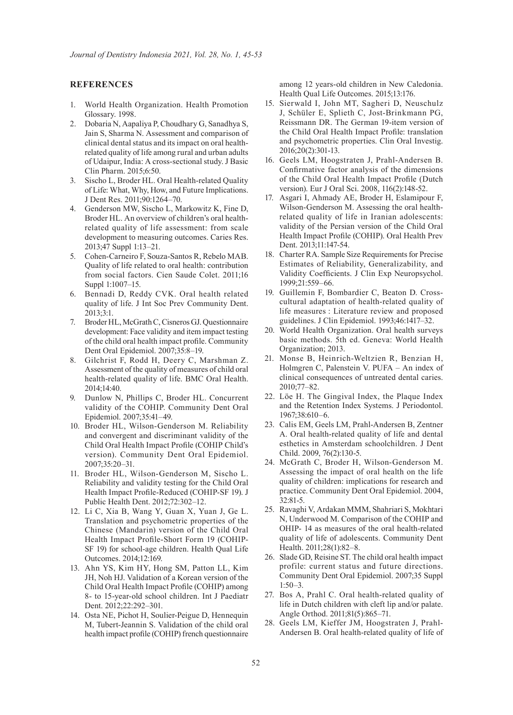## **REFERENCES**

- 1. World Health Organization. Health Promotion Glossary. 1998.
- 2. Dobaria N, Aapaliya P, Choudhary G, Sanadhya S, Jain S, Sharma N. Assessment and comparison of clinical dental status and its impact on oral healthrelated quality of life among rural and urban adults of Udaipur, India: A cross-sectional study. J Basic Clin Pharm. 2015;6:50.
- 3. Sischo L, Broder HL. Oral Health-related Quality of Life: What, Why, How, and Future Implications. J Dent Res. 2011;90:1264–70.
- 4. Genderson MW, Sischo L, Markowitz K, Fine D, Broder HL. An overview of children's oral healthrelated quality of life assessment: from scale development to measuring outcomes. Caries Res. 2013;47 Suppl 1:13–21.
- 5. Cohen-Carneiro F, Souza-Santos R, Rebelo MAB. Quality of life related to oral health: contribution from social factors. Cien Saude Colet. 2011;16 Suppl 1:1007–15.
- 6. Bennadi D, Reddy CVK. Oral health related quality of life. J Int Soc Prev Community Dent. 2013;3:1.
- 7. Broder HL, McGrath C, Cisneros GJ. Questionnaire development: Face validity and item impact testing of the child oral health impact profile. Community Dent Oral Epidemiol. 2007;35:8–19.
- 8. Gilchrist F, Rodd H, Deery C, Marshman Z. Assessment of the quality of measures of child oral health-related quality of life. BMC Oral Health. 2014;14:40.
- 9. Dunlow N, Phillips C, Broder HL. Concurrent validity of the COHIP. Community Dent Oral Epidemiol. 2007;35:41–49.
- 10. Broder HL, Wilson-Genderson M. Reliability and convergent and discriminant validity of the Child Oral Health Impact Profile (COHIP Child's version). Community Dent Oral Epidemiol. 2007;35:20–31.
- 11. Broder HL, Wilson-Genderson M, Sischo L. Reliability and validity testing for the Child Oral Health Impact Profile-Reduced (COHIP-SF 19). J Public Health Dent. 2012;72:302–12.
- 12. Li C, Xia B, Wang Y, Guan X, Yuan J, Ge L. Translation and psychometric properties of the Chinese (Mandarin) version of the Child Oral Health Impact Profile-Short Form 19 (COHIP-SF 19) for school-age children. Health Qual Life Outcomes. 2014;12:169.
- 13. Ahn YS, Kim HY, Hong SM, Patton LL, Kim JH, Noh HJ. Validation of a Korean version of the Child Oral Health Impact Profile (COHIP) among 8- to 15-year-old school children. Int J Paediatr Dent. 2012;22:292–301.
- 14. Osta NE, Pichot H, Soulier-Peigue D, Hennequin M, Tubert-Jeannin S. Validation of the child oral health impact profile (COHIP) french questionnaire

among 12 years-old children in New Caledonia. Health Qual Life Outcomes. 2015;13:176.

- 15. Sierwald I, John MT, Sagheri D, Neuschulz J, Schüler E, Splieth C, Jost-Brinkmann PG, Reissmann DR. The German 19-item version of the Child Oral Health Impact Profile: translation and psychometric properties. Clin Oral Investig. 2016;20(2):301-13.
- 16. Geels LM, Hoogstraten J, Prahl-Andersen B. Confirmative factor analysis of the dimensions of the Child Oral Health Impact Profile (Dutch version). Eur J Oral Sci. 2008, 116(2):148-52.
- 17. Asgari I, Ahmady AE, Broder H, Eslamipour F, Wilson-Genderson M. Assessing the oral healthrelated quality of life in Iranian adolescents: validity of the Persian version of the Child Oral Health Impact Profile (COHIP). Oral Health Prev Dent. 2013;11:147-54.
- 18. Charter RA. Sample Size Requirements for Precise Estimates of Reliability, Generalizability, and Validity Coefficients. J Clin Exp Neuropsychol. 1999;21:559–66.
- 19. Guillemin F, Bombardier C, Beaton D. Crosscultural adaptation of health-related quality of life measures : Literature review and proposed guidelines. J Clin Epidemiol. 1993;46:1417–32.
- 20. World Health Organization. Oral health surveys basic methods. 5th ed. Geneva: World Health Organization; 2013.
- 21. Monse B, Heinrich-Weltzien R, Benzian H, Holmgren C, Palenstein V. PUFA – An index of clinical consequences of untreated dental caries. 2010;77–82.
- 22. Löe H. The Gingival Index, the Plaque Index and the Retention Index Systems. J Periodontol. 1967;38:610–6.
- 23. Calis EM, Geels LM, Prahl-Andersen B, Zentner A. Oral health-related quality of life and dental esthetics in Amsterdam schoolchildren. J Dent Child. 2009, 76(2):130-5.
- 24. McGrath C, Broder H, Wilson-Genderson M. Assessing the impact of oral health on the life quality of children: implications for research and practice. Community Dent Oral Epidemiol. 2004, 32:81-5.
- 25. Ravaghi V, Ardakan MMM, Shahriari S, Mokhtari N, Underwood M. Comparison of the COHIP and OHIP- 14 as measures of the oral health-related quality of life of adolescents. Community Dent Health. 2011;28(1):82–8.
- 26. Slade GD, Reisine ST. The child oral health impact profile: current status and future directions. Community Dent Oral Epidemiol. 2007;35 Suppl  $1:50-3$
- 27. Bos A, Prahl C. Oral health-related quality of life in Dutch children with cleft lip and/or palate. Angle Orthod. 2011;81(5):865–71.
- 28. Geels LM, Kieffer JM, Hoogstraten J, Prahl-Andersen B. Oral health-related quality of life of